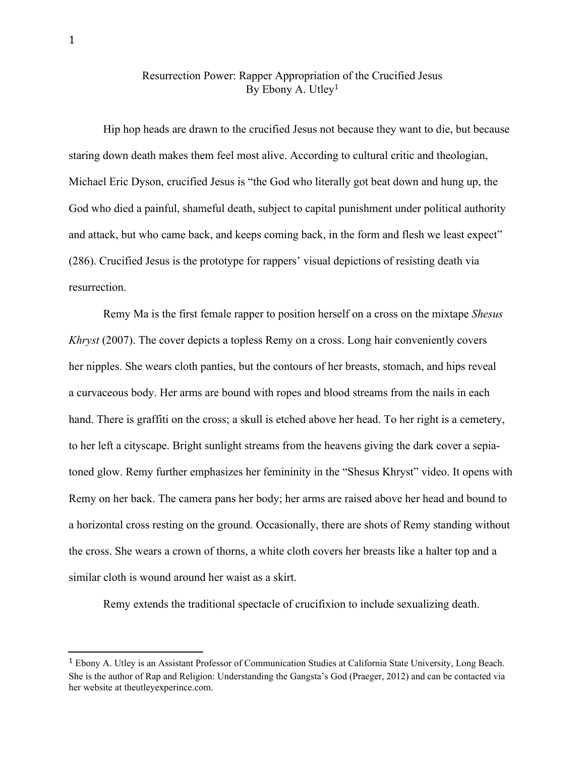## Resurrection Power: Rapper Appropriation of the Crucified Jesus By Ebony A. Utley 1

Hip hop heads are drawn to the crucified Jesus not because they want to die, but because staring down death makes them feel most alive. According to cultural critic and theologian, Michael Eric Dyson, crucified Jesus is "the God who literally got beat down and hung up, the God who died a painful, shameful death, subject to capital punishment under political authority and attack, but who came back, and keeps coming back, in the form and flesh we least expect" (286). Crucified Jesus is the prototype for rappers' visual depictions of resisting death via resurrection.

Remy Ma is the first female rapper to position herself on a cross on the mixtape *Shesus Khryst* (2007). The cover depicts a topless Remy on a cross. Long hair conveniently covers her nipples. She wears cloth panties, but the contours of her breasts, stomach, and hips reveal a curvaceous body. Her arms are bound with ropes and blood streams from the nails in each hand. There is graffiti on the cross; a skull is etched above her head. To her right is a cemetery, to her left a cityscape. Bright sunlight streams from the heavens giving the dark cover a sepiatoned glow. Remy further emphasizes her femininity in the "Shesus Khryst" video. It opens with Remy on her back. The camera pans her body; her arms are raised above her head and bound to a horizontal cross resting on the ground. Occasionally, there are shots of Remy standing without the cross. She wears a crown of thorns, a white cloth covers her breasts like a halter top and a similar cloth is wound around her waist as a skirt.

Remy extends the traditional spectacle of crucifixion to include sexualizing death.

<sup>1</sup> Ebony A. Utley is an Assistant Professor of Communication Studies at California State University, Long Beach. She is the author of Rap and Religion: Understanding the Gangsta's God (Praeger, 2012) and can be contacted via her website at theutleyexperince.com.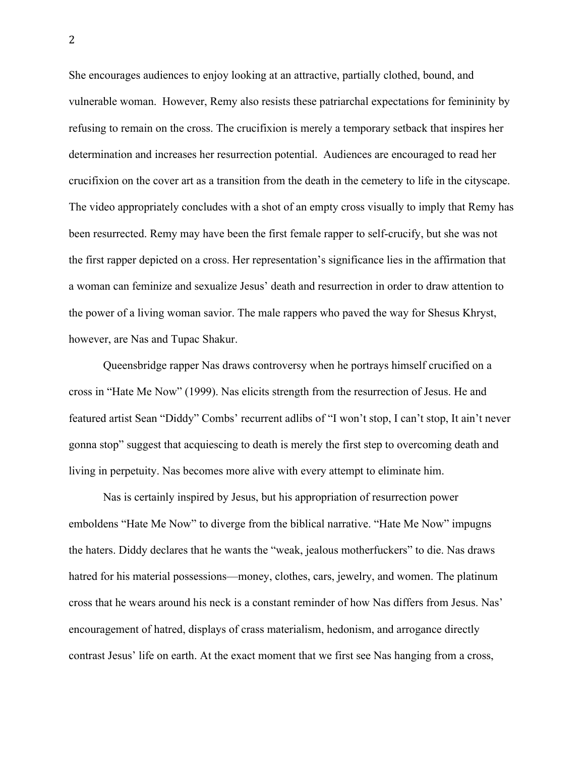She encourages audiences to enjoy looking at an attractive, partially clothed, bound, and vulnerable woman. However, Remy also resists these patriarchal expectations for femininity by refusing to remain on the cross. The crucifixion is merely a temporary setback that inspires her determination and increases her resurrection potential. Audiences are encouraged to read her crucifixion on the cover art as a transition from the death in the cemetery to life in the cityscape. The video appropriately concludes with a shot of an empty cross visually to imply that Remy has been resurrected. Remy may have been the first female rapper to self-crucify, but she was not the first rapper depicted on a cross. Her representation's significance lies in the affirmation that a woman can feminize and sexualize Jesus' death and resurrection in order to draw attention to the power of a living woman savior. The male rappers who paved the way for Shesus Khryst, however, are Nas and Tupac Shakur.

Queensbridge rapper Nas draws controversy when he portrays himself crucified on a cross in "Hate Me Now" (1999). Nas elicits strength from the resurrection of Jesus. He and featured artist Sean "Diddy" Combs' recurrent adlibs of "I won't stop, I can't stop, It ain't never gonna stop" suggest that acquiescing to death is merely the first step to overcoming death and living in perpetuity. Nas becomes more alive with every attempt to eliminate him.

Nas is certainly inspired by Jesus, but his appropriation of resurrection power emboldens "Hate Me Now" to diverge from the biblical narrative. "Hate Me Now" impugns the haters. Diddy declares that he wants the "weak, jealous motherfuckers" to die. Nas draws hatred for his material possessions—money, clothes, cars, jewelry, and women. The platinum cross that he wears around his neck is a constant reminder of how Nas differs from Jesus. Nas' encouragement of hatred, displays of crass materialism, hedonism, and arrogance directly contrast Jesus' life on earth. At the exact moment that we first see Nas hanging from a cross,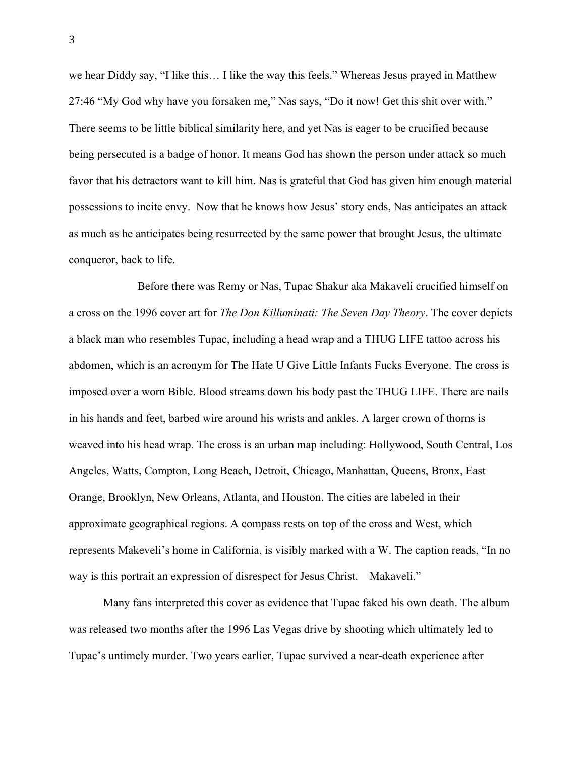we hear Diddy say, "I like this… I like the way this feels." Whereas Jesus prayed in Matthew 27:46 "My God why have you forsaken me," Nas says, "Do it now! Get this shit over with." There seems to be little biblical similarity here, and yet Nas is eager to be crucified because being persecuted is a badge of honor. It means God has shown the person under attack so much favor that his detractors want to kill him. Nas is grateful that God has given him enough material possessions to incite envy. Now that he knows how Jesus' story ends, Nas anticipates an attack as much as he anticipates being resurrected by the same power that brought Jesus, the ultimate conqueror, back to life.

Before there was Remy or Nas, Tupac Shakur aka Makaveli crucified himself on a cross on the 1996 cover art for *The Don Killuminati: The Seven Day Theory*. The cover depicts a black man who resembles Tupac, including a head wrap and a THUG LIFE tattoo across his abdomen, which is an acronym for The Hate U Give Little Infants Fucks Everyone. The cross is imposed over a worn Bible. Blood streams down his body past the THUG LIFE. There are nails in his hands and feet, barbed wire around his wrists and ankles. A larger crown of thorns is weaved into his head wrap. The cross is an urban map including: Hollywood, South Central, Los Angeles, Watts, Compton, Long Beach, Detroit, Chicago, Manhattan, Queens, Bronx, East Orange, Brooklyn, New Orleans, Atlanta, and Houston. The cities are labeled in their approximate geographical regions. A compass rests on top of the cross and West, which represents Makeveli's home in California, is visibly marked with a W. The caption reads, "In no way is this portrait an expression of disrespect for Jesus Christ.—Makaveli."

Many fans interpreted this cover as evidence that Tupac faked his own death. The album was released two months after the 1996 Las Vegas drive by shooting which ultimately led to Tupac's untimely murder. Two years earlier, Tupac survived a near-death experience after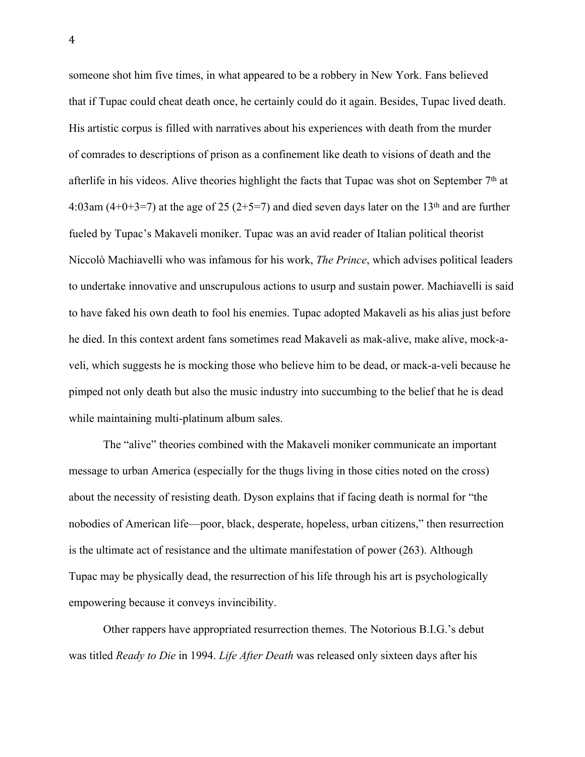someone shot him five times, in what appeared to be a robbery in New York. Fans believed that if Tupac could cheat death once, he certainly could do it again. Besides, Tupac lived death. His artistic corpus is filled with narratives about his experiences with death from the murder of comrades to descriptions of prison as a confinement like death to visions of death and the afterlife in his videos. Alive theories highlight the facts that Tupac was shot on September  $7<sup>th</sup>$  at 4:03am  $(4+0+3=7)$  at the age of 25 (2+5=7) and died seven days later on the 13<sup>th</sup> and are further fueled by Tupac's Makaveli moniker. Tupac was an avid reader of Italian political theorist Niccolò Machiavelli who was infamous for his work, *The Prince*, which advises political leaders to undertake innovative and unscrupulous actions to usurp and sustain power. Machiavelli is said to have faked his own death to fool his enemies. Tupac adopted Makaveli as his alias just before he died. In this context ardent fans sometimes read Makaveli as mak-alive, make alive, mock-aveli, which suggests he is mocking those who believe him to be dead, or mack-a-veli because he pimped not only death but also the music industry into succumbing to the belief that he is dead while maintaining multi-platinum album sales.

The "alive" theories combined with the Makaveli moniker communicate an important message to urban America (especially for the thugs living in those cities noted on the cross) about the necessity of resisting death. Dyson explains that if facing death is normal for "the nobodies of American life—poor, black, desperate, hopeless, urban citizens," then resurrection is the ultimate act of resistance and the ultimate manifestation of power (263). Although Tupac may be physically dead, the resurrection of his life through his art is psychologically empowering because it conveys invincibility.

Other rappers have appropriated resurrection themes. The Notorious B.I.G.'s debut was titled *Ready to Die* in 1994. *Life After Death* was released only sixteen days after his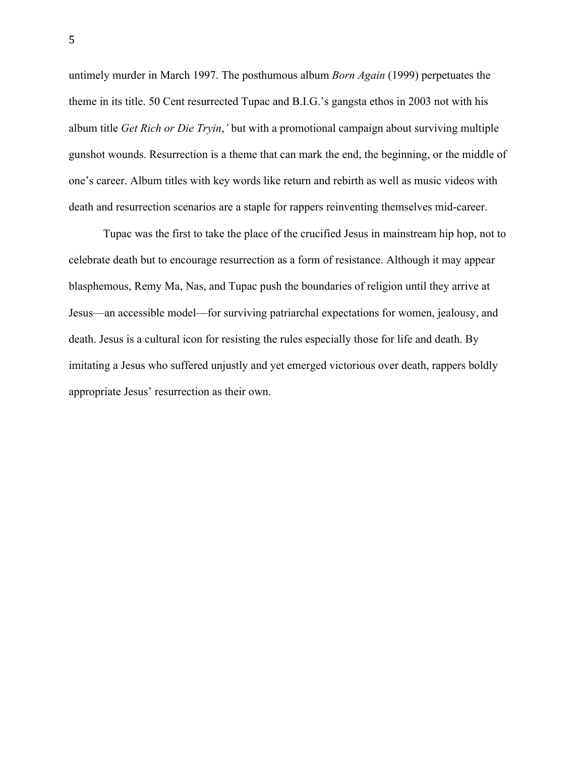untimely murder in March 1997. The posthumous album *Born Again* (1999) perpetuates the theme in its title. 50 Cent resurrected Tupac and B.I.G.'s gangsta ethos in 2003 not with his album title *Get Rich or Die Tryin*,*'* but with a promotional campaign about surviving multiple gunshot wounds. Resurrection is a theme that can mark the end, the beginning, or the middle of one's career. Album titles with key words like return and rebirth as well as music videos with death and resurrection scenarios are a staple for rappers reinventing themselves mid-career.

Tupac was the first to take the place of the crucified Jesus in mainstream hip hop, not to celebrate death but to encourage resurrection as a form of resistance. Although it may appear blasphemous, Remy Ma, Nas, and Tupac push the boundaries of religion until they arrive at Jesus—an accessible model—for surviving patriarchal expectations for women, jealousy, and death. Jesus is a cultural icon for resisting the rules especially those for life and death. By imitating a Jesus who suffered unjustly and yet emerged victorious over death, rappers boldly appropriate Jesus' resurrection as their own.